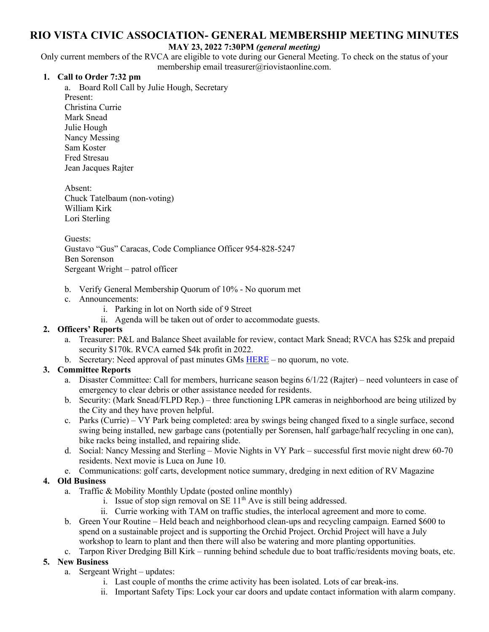# **RIO VISTA CIVIC ASSOCIATION- GENERAL MEMBERSHIP MEETING MINUTES**

#### **MAY 23, 2022 7:30PM** *(general meeting)*

Only current members of the RVCA are eligible to vote during our General Meeting. To check on the status of your membership email treasurer@riovistaonline.com.

### **1. Call to Order 7:32 pm**

a. Board Roll Call by Julie Hough, Secretary Present: Christina Currie Mark Snead Julie Hough Nancy Messing Sam Koster Fred Stresau Jean Jacques Rajter

Absent: Chuck Tatelbaum (non-voting) William Kirk Lori Sterling

Guests: Gustavo "Gus" Caracas, Code Compliance Officer 954-828-5247 Ben Sorenson Sergeant Wright – patrol officer

- b. Verify General Membership Quorum of 10% No quorum met
- c. Announcements:
	- i. Parking in lot on North side of 9 Street
	- ii. Agenda will be taken out of order to accommodate guests.

### **2. Officers' Reports**

- a. Treasurer: P&L and Balance Sheet available for review, contact Mark Snead; RVCA has \$25k and prepaid security \$170k. RVCA earned \$4k profit in 2022.
- b. Secretary: Need approval of past minutes GMs  $HERE$  no quorum, no vote.

### **3. Committee Reports**

- a. Disaster Committee: Call for members, hurricane season begins 6/1/22 (Rajter) need volunteers in case of emergency to clear debris or other assistance needed for residents.
- b. Security: (Mark Snead/FLPD Rep.) three functioning LPR cameras in neighborhood are being utilized by the City and they have proven helpful.
- c. Parks (Currie) VY Park being completed: area by swings being changed fixed to a single surface, second swing being installed, new garbage cans (potentially per Sorensen, half garbage/half recycling in one can), bike racks being installed, and repairing slide.
- d. Social: Nancy Messing and Sterling Movie Nights in VY Park successful first movie night drew 60-70 residents. Next movie is Luca on June 10.
- e. Communications: golf carts, development notice summary, dredging in next edition of RV Magazine

## **4. Old Business**

- a. Traffic & Mobility Monthly Update (posted online monthly)
	- i. Issue of stop sign removal on SE  $11<sup>th</sup>$  Ave is still being addressed.
	- ii. Currie working with TAM on traffic studies, the interlocal agreement and more to come.
- b. Green Your Routine Held beach and neighborhood clean-ups and recycling campaign. Earned \$600 to spend on a sustainable project and is supporting the Orchid Project. Orchid Project will have a July workshop to learn to plant and then there will also be watering and more planting opportunities.
- c. Tarpon River Dredging Bill Kirk running behind schedule due to boat traffic/residents moving boats, etc.

## **5. New Business**

- a. Sergeant Wright updates:
	- i. Last couple of months the crime activity has been isolated. Lots of car break-ins.
	- ii. Important Safety Tips: Lock your car doors and update contact information with alarm company.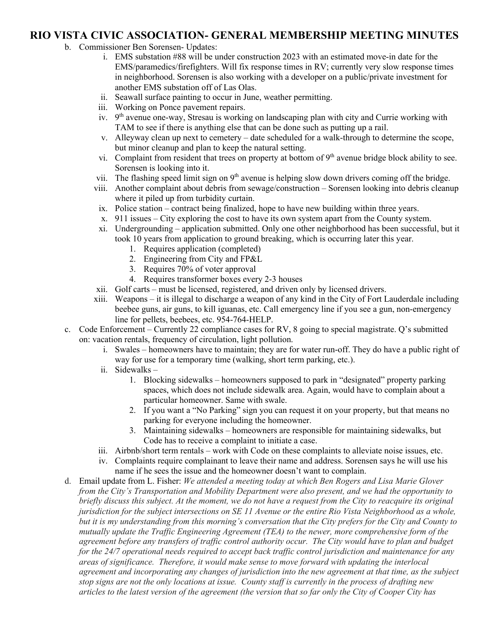## **RIO VISTA CIVIC ASSOCIATION- GENERAL MEMBERSHIP MEETING MINUTES**

- b. Commissioner Ben Sorensen- Updates:
	- i. EMS substation #88 will be under construction 2023 with an estimated move-in date for the EMS/paramedics/firefighters. Will fix response times in RV; currently very slow response times in neighborhood. Sorensen is also working with a developer on a public/private investment for another EMS substation off of Las Olas.
	- ii. Seawall surface painting to occur in June, weather permitting.
	- iii. Working on Ponce pavement repairs.
	- iv.  $9<sup>th</sup>$  avenue one-way, Stresau is working on landscaping plan with city and Currie working with TAM to see if there is anything else that can be done such as putting up a rail.
	- v. Alleyway clean up next to cemetery date scheduled for a walk-through to determine the scope, but minor cleanup and plan to keep the natural setting.
	- vi. Complaint from resident that trees on property at bottom of  $9<sup>th</sup>$  avenue bridge block ability to see. Sorensen is looking into it.
	- vii. The flashing speed limit sign on 9<sup>th</sup> avenue is helping slow down drivers coming off the bridge.
	- viii. Another complaint about debris from sewage/construction Sorensen looking into debris cleanup where it piled up from turbidity curtain.
	- ix. Police station contract being finalized, hope to have new building within three years.
	- x. 911 issues City exploring the cost to have its own system apart from the County system.
	- xi. Undergrounding application submitted. Only one other neighborhood has been successful, but it took 10 years from application to ground breaking, which is occurring later this year.
		- 1. Requires application (completed)
		- 2. Engineering from City and FP&L
		- 3. Requires 70% of voter approval
		- 4. Requires transformer boxes every 2-3 houses
	- xii. Golf carts must be licensed, registered, and driven only by licensed drivers.
	- xiii. Weapons it is illegal to discharge a weapon of any kind in the City of Fort Lauderdale including beebee guns, air guns, to kill iguanas, etc. Call emergency line if you see a gun, non-emergency line for pellets, beebees, etc. 954-764-HELP.
- c. Code Enforcement Currently 22 compliance cases for RV, 8 going to special magistrate. Q's submitted on: vacation rentals, frequency of circulation, light pollution.
	- i. Swales homeowners have to maintain; they are for water run-off. They do have a public right of way for use for a temporary time (walking, short term parking, etc.).
	- ii. Sidewalks
		- 1. Blocking sidewalks homeowners supposed to park in "designated" property parking spaces, which does not include sidewalk area. Again, would have to complain about a particular homeowner. Same with swale.
		- 2. If you want a "No Parking" sign you can request it on your property, but that means no parking for everyone including the homeowner.
		- 3. Maintaining sidewalks homeowners are responsible for maintaining sidewalks, but Code has to receive a complaint to initiate a case.
	- iii. Airbnb/short term rentals work with Code on these complaints to alleviate noise issues, etc.
	- iv. Complaints require complainant to leave their name and address. Sorensen says he will use his name if he sees the issue and the homeowner doesn't want to complain.
- d. Email update from L. Fisher: *We attended a meeting today at which Ben Rogers and Lisa Marie Glover from the City's Transportation and Mobility Department were also present, and we had the opportunity to briefly discuss this subject. At the moment, we do not have a request from the City to reacquire its original jurisdiction for the subject intersections on SE 11 Avenue or the entire Rio Vista Neighborhood as a whole, but it is my understanding from this morning's conversation that the City prefers for the City and County to mutually update the Traffic Engineering Agreement (TEA) to the newer, more comprehensive form of the agreement before any transfers of traffic control authority occur. The City would have to plan and budget for the 24/7 operational needs required to accept back traffic control jurisdiction and maintenance for any areas of significance. Therefore, it would make sense to move forward with updating the interlocal agreement and incorporating any changes of jurisdiction into the new agreement at that time, as the subject stop signs are not the only locations at issue. County staff is currently in the process of drafting new articles to the latest version of the agreement (the version that so far only the City of Cooper City has*